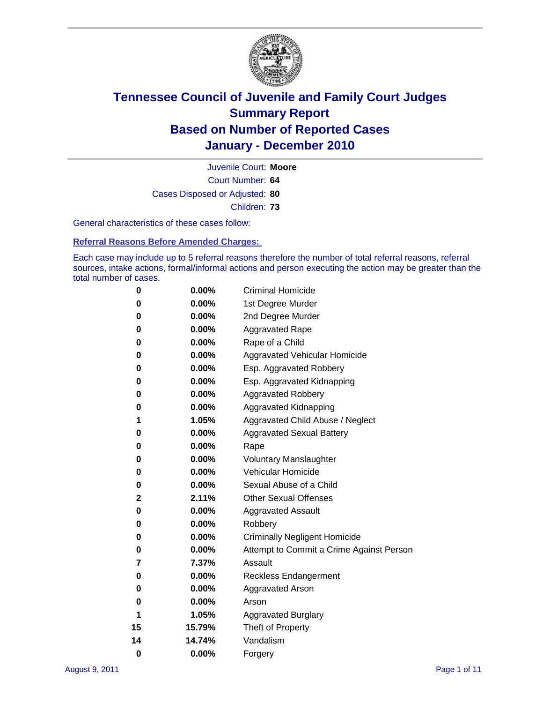

Court Number: **64** Juvenile Court: **Moore** Cases Disposed or Adjusted: **80** Children: **73**

General characteristics of these cases follow:

**Referral Reasons Before Amended Charges:** 

Each case may include up to 5 referral reasons therefore the number of total referral reasons, referral sources, intake actions, formal/informal actions and person executing the action may be greater than the total number of cases.

| 0  | 0.00%    | <b>Criminal Homicide</b>                 |  |  |  |
|----|----------|------------------------------------------|--|--|--|
| 0  | 0.00%    | 1st Degree Murder                        |  |  |  |
| 0  | 0.00%    | 2nd Degree Murder                        |  |  |  |
| 0  | 0.00%    | <b>Aggravated Rape</b>                   |  |  |  |
| 0  | 0.00%    | Rape of a Child                          |  |  |  |
| 0  | 0.00%    | Aggravated Vehicular Homicide            |  |  |  |
| 0  | 0.00%    | Esp. Aggravated Robbery                  |  |  |  |
| 0  | 0.00%    | Esp. Aggravated Kidnapping               |  |  |  |
| 0  | 0.00%    | <b>Aggravated Robbery</b>                |  |  |  |
| 0  | 0.00%    | Aggravated Kidnapping                    |  |  |  |
| 1  | 1.05%    | Aggravated Child Abuse / Neglect         |  |  |  |
| 0  | 0.00%    | <b>Aggravated Sexual Battery</b>         |  |  |  |
| 0  | 0.00%    | Rape                                     |  |  |  |
| 0  | $0.00\%$ | <b>Voluntary Manslaughter</b>            |  |  |  |
| 0  | 0.00%    | Vehicular Homicide                       |  |  |  |
| 0  | 0.00%    | Sexual Abuse of a Child                  |  |  |  |
| 2  | 2.11%    | <b>Other Sexual Offenses</b>             |  |  |  |
| 0  | 0.00%    | <b>Aggravated Assault</b>                |  |  |  |
| 0  | $0.00\%$ | Robbery                                  |  |  |  |
| 0  | 0.00%    | <b>Criminally Negligent Homicide</b>     |  |  |  |
| 0  | 0.00%    | Attempt to Commit a Crime Against Person |  |  |  |
| 7  | 7.37%    | Assault                                  |  |  |  |
| 0  | 0.00%    | <b>Reckless Endangerment</b>             |  |  |  |
| 0  | 0.00%    | <b>Aggravated Arson</b>                  |  |  |  |
| 0  | 0.00%    | Arson                                    |  |  |  |
| 1  | 1.05%    | <b>Aggravated Burglary</b>               |  |  |  |
| 15 | 15.79%   | Theft of Property                        |  |  |  |
| 14 | 14.74%   | Vandalism                                |  |  |  |
| 0  | 0.00%    | Forgery                                  |  |  |  |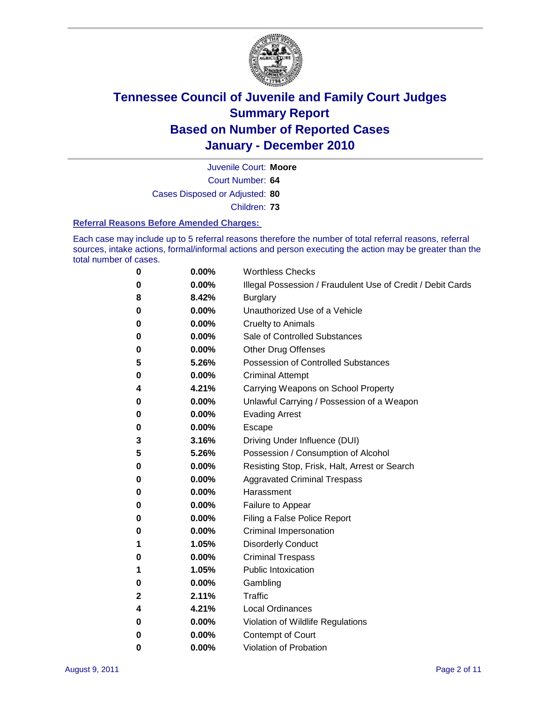

Court Number: **64** Juvenile Court: **Moore**

Cases Disposed or Adjusted: **80**

Children: **73**

#### **Referral Reasons Before Amended Charges:**

Each case may include up to 5 referral reasons therefore the number of total referral reasons, referral sources, intake actions, formal/informal actions and person executing the action may be greater than the total number of cases.

| 0 | 0.00%    | <b>Worthless Checks</b>                                     |
|---|----------|-------------------------------------------------------------|
| 0 | 0.00%    | Illegal Possession / Fraudulent Use of Credit / Debit Cards |
| 8 | 8.42%    | <b>Burglary</b>                                             |
| 0 | $0.00\%$ | Unauthorized Use of a Vehicle                               |
| 0 | $0.00\%$ | <b>Cruelty to Animals</b>                                   |
| 0 | $0.00\%$ | Sale of Controlled Substances                               |
| 0 | $0.00\%$ | <b>Other Drug Offenses</b>                                  |
| 5 | 5.26%    | <b>Possession of Controlled Substances</b>                  |
| 0 | $0.00\%$ | <b>Criminal Attempt</b>                                     |
| 4 | 4.21%    | Carrying Weapons on School Property                         |
| 0 | 0.00%    | Unlawful Carrying / Possession of a Weapon                  |
| 0 | $0.00\%$ | <b>Evading Arrest</b>                                       |
| 0 | $0.00\%$ | Escape                                                      |
| 3 | 3.16%    | Driving Under Influence (DUI)                               |
| 5 | 5.26%    | Possession / Consumption of Alcohol                         |
| 0 | $0.00\%$ | Resisting Stop, Frisk, Halt, Arrest or Search               |
| 0 | $0.00\%$ | <b>Aggravated Criminal Trespass</b>                         |
| 0 | $0.00\%$ | Harassment                                                  |
| 0 | 0.00%    | Failure to Appear                                           |
| 0 | 0.00%    | Filing a False Police Report                                |
| 0 | 0.00%    | Criminal Impersonation                                      |
| 1 | 1.05%    | <b>Disorderly Conduct</b>                                   |
| 0 | 0.00%    | <b>Criminal Trespass</b>                                    |
| 1 | 1.05%    | <b>Public Intoxication</b>                                  |
| 0 | $0.00\%$ | Gambling                                                    |
| 2 | 2.11%    | Traffic                                                     |
| 4 | 4.21%    | <b>Local Ordinances</b>                                     |
| 0 | 0.00%    | Violation of Wildlife Regulations                           |
| 0 | $0.00\%$ | Contempt of Court                                           |
| 0 | 0.00%    | Violation of Probation                                      |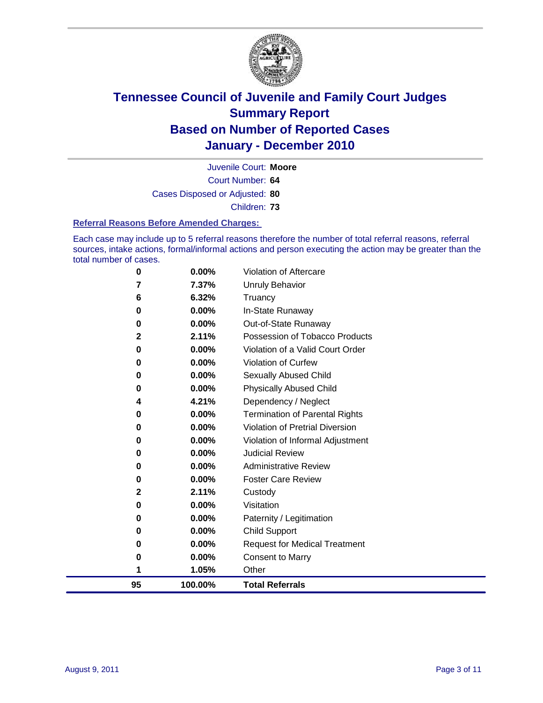

Court Number: **64** Juvenile Court: **Moore** Cases Disposed or Adjusted: **80** Children: **73**

#### **Referral Reasons Before Amended Charges:**

Each case may include up to 5 referral reasons therefore the number of total referral reasons, referral sources, intake actions, formal/informal actions and person executing the action may be greater than the total number of cases.

| 0            | 0.00%   | Violation of Aftercare                 |
|--------------|---------|----------------------------------------|
| 7            | 7.37%   | <b>Unruly Behavior</b>                 |
| 6            | 6.32%   | Truancy                                |
| 0            | 0.00%   | In-State Runaway                       |
| 0            | 0.00%   | Out-of-State Runaway                   |
| $\mathbf{2}$ | 2.11%   | Possession of Tobacco Products         |
| 0            | 0.00%   | Violation of a Valid Court Order       |
| 0            | 0.00%   | <b>Violation of Curfew</b>             |
| 0            | 0.00%   | Sexually Abused Child                  |
| 0            | 0.00%   | <b>Physically Abused Child</b>         |
| 4            | 4.21%   | Dependency / Neglect                   |
| 0            | 0.00%   | <b>Termination of Parental Rights</b>  |
| 0            | 0.00%   | <b>Violation of Pretrial Diversion</b> |
| 0            | 0.00%   | Violation of Informal Adjustment       |
| 0            | 0.00%   | <b>Judicial Review</b>                 |
| 0            | 0.00%   | <b>Administrative Review</b>           |
| 0            | 0.00%   | <b>Foster Care Review</b>              |
| 2            | 2.11%   | Custody                                |
| 0            | 0.00%   | Visitation                             |
| 0            | 0.00%   | Paternity / Legitimation               |
| 0            | 0.00%   | <b>Child Support</b>                   |
| 0            | 0.00%   | <b>Request for Medical Treatment</b>   |
| 0            | 0.00%   | <b>Consent to Marry</b>                |
| 1            | 1.05%   | Other                                  |
| 95           | 100.00% | <b>Total Referrals</b>                 |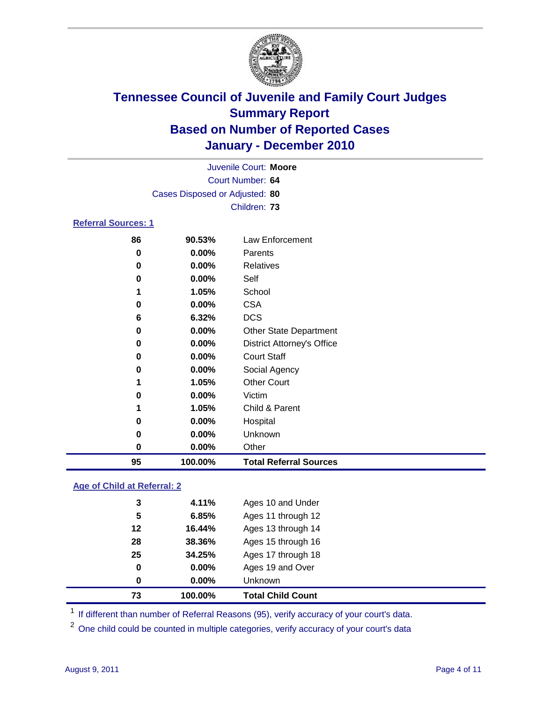

|                            | Juvenile Court: Moore          |                                   |  |  |  |
|----------------------------|--------------------------------|-----------------------------------|--|--|--|
|                            | Court Number: 64               |                                   |  |  |  |
|                            | Cases Disposed or Adjusted: 80 |                                   |  |  |  |
|                            |                                | Children: 73                      |  |  |  |
| <b>Referral Sources: 1</b> |                                |                                   |  |  |  |
| 86                         | 90.53%                         | Law Enforcement                   |  |  |  |
| 0                          | 0.00%                          | Parents                           |  |  |  |
| 0                          | 0.00%                          | Relatives                         |  |  |  |
| 0                          | $0.00\%$                       | Self                              |  |  |  |
| 1                          | 1.05%                          | School                            |  |  |  |
| 0                          | $0.00\%$                       | <b>CSA</b>                        |  |  |  |
| 6                          | 6.32%                          | <b>DCS</b>                        |  |  |  |
| 0                          | 0.00%                          | <b>Other State Department</b>     |  |  |  |
| 0                          | 0.00%                          | <b>District Attorney's Office</b> |  |  |  |
| 0                          | 0.00%                          | <b>Court Staff</b>                |  |  |  |
| $\bf{0}$                   | 0.00%                          | Social Agency                     |  |  |  |
| 1                          | 1.05%                          | <b>Other Court</b>                |  |  |  |
| 0                          | $0.00\%$                       | Victim                            |  |  |  |
| 1                          | 1.05%                          | Child & Parent                    |  |  |  |
| 0                          | 0.00%                          | Hospital                          |  |  |  |
| $\bf{0}$                   | 0.00%                          | Unknown                           |  |  |  |
| $\bf{0}$                   | 0.00%                          | Other                             |  |  |  |
| 95                         | 100.00%                        | <b>Total Referral Sources</b>     |  |  |  |

### **Age of Child at Referral: 2**

| 0  | 0.00%  | <b>Unknown</b>     |
|----|--------|--------------------|
| 0  | 0.00%  | Ages 19 and Over   |
| 25 | 34.25% | Ages 17 through 18 |
| 28 | 38.36% | Ages 15 through 16 |
| 12 | 16.44% | Ages 13 through 14 |
| 5  | 6.85%  | Ages 11 through 12 |
| 3  | 4.11%  | Ages 10 and Under  |
|    |        |                    |

<sup>1</sup> If different than number of Referral Reasons (95), verify accuracy of your court's data.

<sup>2</sup> One child could be counted in multiple categories, verify accuracy of your court's data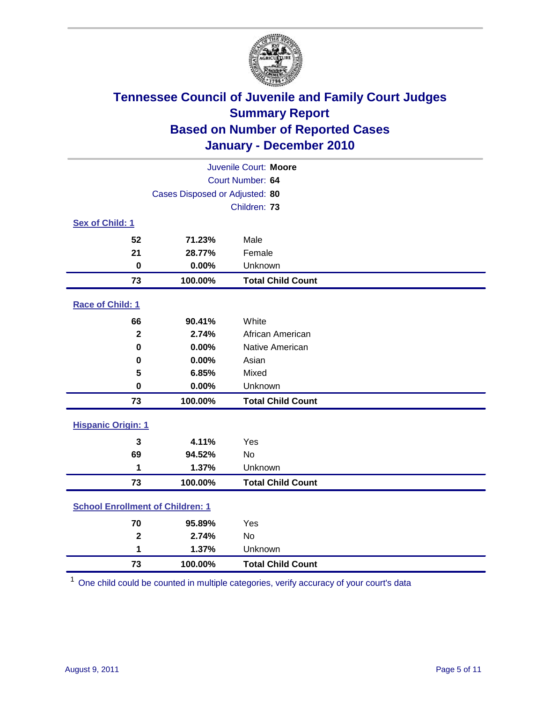

| Juvenile Court: Moore                   |                                |                          |  |  |  |
|-----------------------------------------|--------------------------------|--------------------------|--|--|--|
|                                         | Court Number: 64               |                          |  |  |  |
|                                         | Cases Disposed or Adjusted: 80 |                          |  |  |  |
|                                         |                                | Children: 73             |  |  |  |
| Sex of Child: 1                         |                                |                          |  |  |  |
| 52                                      | 71.23%                         | Male                     |  |  |  |
| 21                                      | 28.77%                         | Female                   |  |  |  |
| $\mathbf 0$                             | 0.00%                          | Unknown                  |  |  |  |
| 73                                      | 100.00%                        | <b>Total Child Count</b> |  |  |  |
| Race of Child: 1                        |                                |                          |  |  |  |
| 66                                      | 90.41%                         | White                    |  |  |  |
| $\mathbf 2$                             | 2.74%                          | African American         |  |  |  |
| 0                                       | 0.00%                          | Native American          |  |  |  |
| $\mathbf 0$                             | 0.00%                          | Asian                    |  |  |  |
| 5                                       | 6.85%                          | Mixed                    |  |  |  |
| 0                                       | 0.00%                          | Unknown                  |  |  |  |
| 73                                      | 100.00%                        | <b>Total Child Count</b> |  |  |  |
| <b>Hispanic Origin: 1</b>               |                                |                          |  |  |  |
| 3                                       | 4.11%                          | Yes                      |  |  |  |
| 69                                      | 94.52%                         | <b>No</b>                |  |  |  |
| 1                                       | 1.37%                          | Unknown                  |  |  |  |
| 73                                      | 100.00%                        | <b>Total Child Count</b> |  |  |  |
| <b>School Enrollment of Children: 1</b> |                                |                          |  |  |  |
| 70                                      | 95.89%                         | Yes                      |  |  |  |
| $\overline{\mathbf{2}}$                 | 2.74%                          | <b>No</b>                |  |  |  |
| 1                                       | 1.37%                          | Unknown                  |  |  |  |
| 73                                      | 100.00%                        | <b>Total Child Count</b> |  |  |  |

One child could be counted in multiple categories, verify accuracy of your court's data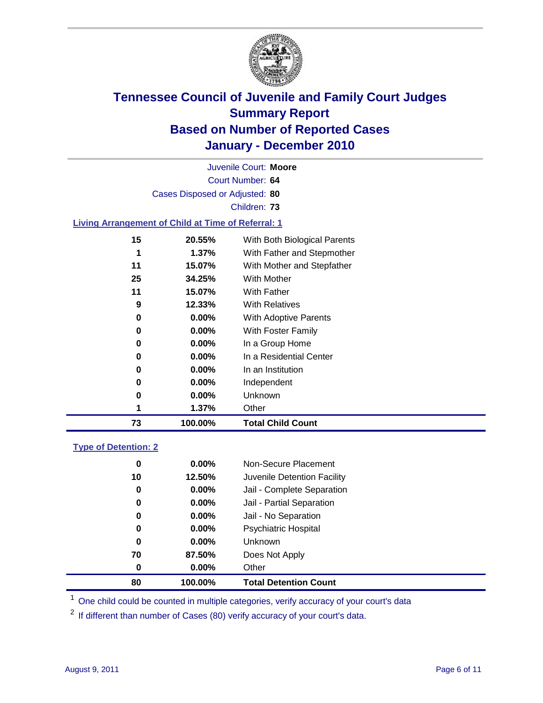

Court Number: **64** Juvenile Court: **Moore** Cases Disposed or Adjusted: **80** Children: **73 Living Arrangement of Child at Time of Referral: 1**

| 73 | 100.00%  | <b>Total Child Count</b>     |
|----|----------|------------------------------|
| 1  | 1.37%    | Other                        |
| 0  | $0.00\%$ | Unknown                      |
| 0  | $0.00\%$ | Independent                  |
| 0  | $0.00\%$ | In an Institution            |
| 0  | $0.00\%$ | In a Residential Center      |
| 0  | $0.00\%$ | In a Group Home              |
| 0  | $0.00\%$ | With Foster Family           |
| 0  | $0.00\%$ | <b>With Adoptive Parents</b> |
| 9  | 12.33%   | <b>With Relatives</b>        |
| 11 | 15.07%   | With Father                  |
| 25 | 34.25%   | With Mother                  |
| 11 | 15.07%   | With Mother and Stepfather   |
| 1  | 1.37%    | With Father and Stepmother   |
| 15 | 20.55%   | With Both Biological Parents |

### **Type of Detention: 2**

| 80 | 100.00%  | <b>Total Detention Count</b> |  |
|----|----------|------------------------------|--|
| 0  | 0.00%    | Other                        |  |
| 70 | 87.50%   | Does Not Apply               |  |
| 0  | $0.00\%$ | Unknown                      |  |
| 0  | $0.00\%$ | <b>Psychiatric Hospital</b>  |  |
| 0  | 0.00%    | Jail - No Separation         |  |
| 0  | $0.00\%$ | Jail - Partial Separation    |  |
| 0  | $0.00\%$ | Jail - Complete Separation   |  |
| 10 | 12.50%   | Juvenile Detention Facility  |  |
| 0  | $0.00\%$ | Non-Secure Placement         |  |
|    |          |                              |  |

<sup>1</sup> One child could be counted in multiple categories, verify accuracy of your court's data

<sup>2</sup> If different than number of Cases (80) verify accuracy of your court's data.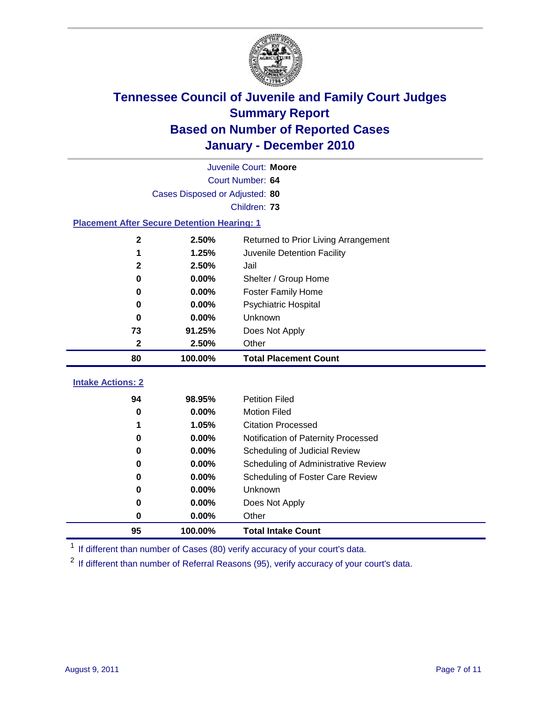

|                                                    | Juvenile Court: Moore          |                                      |  |  |  |
|----------------------------------------------------|--------------------------------|--------------------------------------|--|--|--|
|                                                    | Court Number: 64               |                                      |  |  |  |
|                                                    | Cases Disposed or Adjusted: 80 |                                      |  |  |  |
|                                                    |                                | Children: 73                         |  |  |  |
| <b>Placement After Secure Detention Hearing: 1</b> |                                |                                      |  |  |  |
| $\mathbf 2$                                        | 2.50%                          | Returned to Prior Living Arrangement |  |  |  |
| 1                                                  | 1.25%                          | Juvenile Detention Facility          |  |  |  |
| $\mathbf 2$                                        | 2.50%                          | Jail                                 |  |  |  |
| 0                                                  | 0.00%                          | Shelter / Group Home                 |  |  |  |
| 0                                                  | 0.00%                          | <b>Foster Family Home</b>            |  |  |  |
| 0                                                  | 0.00%                          | Psychiatric Hospital                 |  |  |  |
| $\bf{0}$                                           | 0.00%                          | Unknown                              |  |  |  |
| 73                                                 | 91.25%                         | Does Not Apply                       |  |  |  |
| $\mathbf 2$                                        | 2.50%                          | Other                                |  |  |  |
| 80                                                 | 100.00%                        | <b>Total Placement Count</b>         |  |  |  |
| <b>Intake Actions: 2</b>                           |                                |                                      |  |  |  |
| 94                                                 | 98.95%                         | <b>Petition Filed</b>                |  |  |  |
| 0                                                  | 0.00%                          | <b>Motion Filed</b>                  |  |  |  |
| 1                                                  | 1.05%                          | <b>Citation Processed</b>            |  |  |  |
| 0                                                  | 0.00%                          | Notification of Paternity Processed  |  |  |  |
| 0                                                  | 0.00%                          | Scheduling of Judicial Review        |  |  |  |
| 0                                                  |                                | Scheduling of Administrative Review  |  |  |  |
| 0                                                  | 0.00%                          |                                      |  |  |  |
|                                                    | 0.00%                          | Scheduling of Foster Care Review     |  |  |  |
| 0                                                  | 0.00%                          | Unknown                              |  |  |  |
| 0                                                  | 0.00%                          | Does Not Apply                       |  |  |  |
| 0                                                  | 0.00%                          | Other                                |  |  |  |

<sup>1</sup> If different than number of Cases (80) verify accuracy of your court's data.

<sup>2</sup> If different than number of Referral Reasons (95), verify accuracy of your court's data.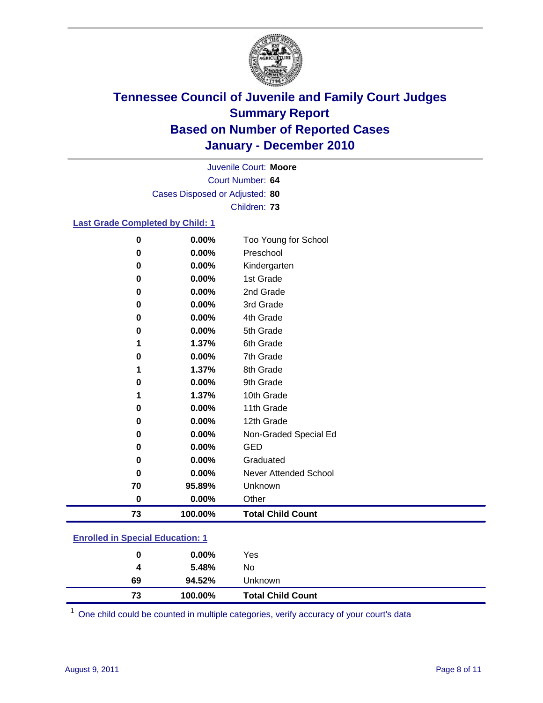

Court Number: **64** Juvenile Court: **Moore** Cases Disposed or Adjusted: **80** Children: **73**

#### **Last Grade Completed by Child: 1**

| 73       | 100.00%        | <b>Total Child Count</b>          |  |
|----------|----------------|-----------------------------------|--|
| $\bf{0}$ | 0.00%          | Other                             |  |
| 70       | 95.89%         | Unknown                           |  |
| 0        | 0.00%          | Never Attended School             |  |
| 0        | 0.00%          | Graduated                         |  |
| 0        | 0.00%          | <b>GED</b>                        |  |
| 0        | 0.00%          | Non-Graded Special Ed             |  |
| 0        | 0.00%          | 12th Grade                        |  |
| 0        | 0.00%          | 11th Grade                        |  |
|          | 1.37%          | 10th Grade                        |  |
| 0        | 0.00%          | 9th Grade                         |  |
| 1        | 1.37%          | 8th Grade                         |  |
| 0        | 0.00%          | 7th Grade                         |  |
| 1        | 1.37%          | 6th Grade                         |  |
| 0        | 0.00%          | 5th Grade                         |  |
| 0        | 0.00%          | 4th Grade                         |  |
| 0        | 0.00%          | 3rd Grade                         |  |
| 0        | 0.00%          | 2nd Grade                         |  |
| 0        | 0.00%          | 1st Grade                         |  |
| 0        | 0.00%          | Kindergarten                      |  |
| 0<br>0   | 0.00%<br>0.00% | Too Young for School<br>Preschool |  |

### **Enrolled in Special Education: 1**

| 94.52%<br>69  |
|---------------|
| 5.48%<br>4    |
| $0.00\%$<br>0 |
|               |

One child could be counted in multiple categories, verify accuracy of your court's data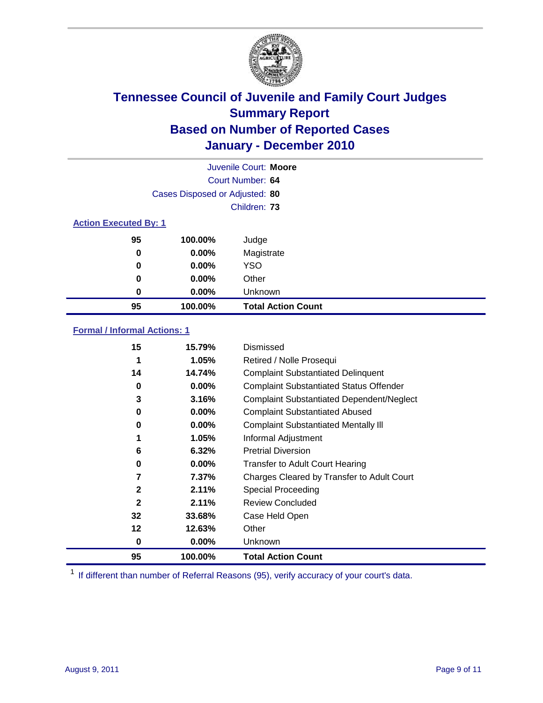

| Juvenile Court: Moore |                                |                           |  |  |  |  |
|-----------------------|--------------------------------|---------------------------|--|--|--|--|
|                       |                                | Court Number: 64          |  |  |  |  |
|                       | Cases Disposed or Adjusted: 80 |                           |  |  |  |  |
|                       |                                | Children: 73              |  |  |  |  |
|                       | <b>Action Executed By: 1</b>   |                           |  |  |  |  |
| 95                    | 100.00%                        | Judge                     |  |  |  |  |
| $\bf{0}$              | $0.00\%$                       | Magistrate                |  |  |  |  |
| 0                     | $0.00\%$                       | <b>YSO</b>                |  |  |  |  |
| 0                     | 0.00%                          | Other                     |  |  |  |  |
| 0                     | 0.00%                          | Unknown                   |  |  |  |  |
| 95                    | 100.00%                        | <b>Total Action Count</b> |  |  |  |  |

### **Formal / Informal Actions: 1**

| 15           | 15.79%   | Dismissed                                        |
|--------------|----------|--------------------------------------------------|
|              | 1.05%    | Retired / Nolle Prosequi                         |
| 14           | 14.74%   | <b>Complaint Substantiated Delinquent</b>        |
| 0            | 0.00%    | <b>Complaint Substantiated Status Offender</b>   |
| 3            | 3.16%    | <b>Complaint Substantiated Dependent/Neglect</b> |
| 0            | 0.00%    | <b>Complaint Substantiated Abused</b>            |
| 0            | $0.00\%$ | <b>Complaint Substantiated Mentally III</b>      |
|              | 1.05%    | Informal Adjustment                              |
| 6            | 6.32%    | <b>Pretrial Diversion</b>                        |
| 0            | 0.00%    | <b>Transfer to Adult Court Hearing</b>           |
|              | 7.37%    | Charges Cleared by Transfer to Adult Court       |
| $\mathbf{2}$ | 2.11%    | Special Proceeding                               |
| $\mathbf{2}$ | 2.11%    | <b>Review Concluded</b>                          |
| 32           | 33.68%   | Case Held Open                                   |
| 12           | 12.63%   | Other                                            |
| 0            | $0.00\%$ | Unknown                                          |
| 95           | 100.00%  | <b>Total Action Count</b>                        |

<sup>1</sup> If different than number of Referral Reasons (95), verify accuracy of your court's data.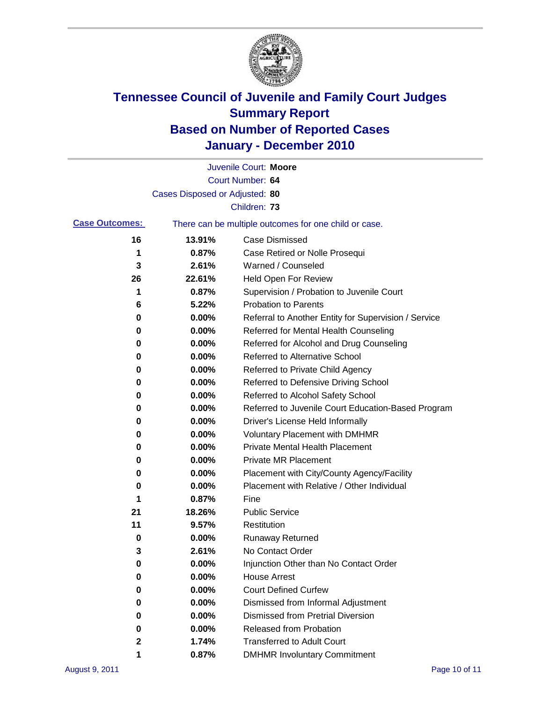

|                       |                                | Juvenile Court: Moore                                 |
|-----------------------|--------------------------------|-------------------------------------------------------|
|                       |                                | Court Number: 64                                      |
|                       | Cases Disposed or Adjusted: 80 |                                                       |
|                       |                                | Children: 73                                          |
| <b>Case Outcomes:</b> |                                | There can be multiple outcomes for one child or case. |
| 16                    | 13.91%                         | <b>Case Dismissed</b>                                 |
| 1                     | 0.87%                          | Case Retired or Nolle Prosequi                        |
| 3                     | 2.61%                          | Warned / Counseled                                    |
| 26                    | 22.61%                         | <b>Held Open For Review</b>                           |
| 1                     | 0.87%                          | Supervision / Probation to Juvenile Court             |
| 6                     | 5.22%                          | <b>Probation to Parents</b>                           |
| 0                     | 0.00%                          | Referral to Another Entity for Supervision / Service  |
| 0                     | 0.00%                          | Referred for Mental Health Counseling                 |
| 0                     | 0.00%                          | Referred for Alcohol and Drug Counseling              |
| 0                     | 0.00%                          | Referred to Alternative School                        |
| 0                     | 0.00%                          | Referred to Private Child Agency                      |
| 0                     | 0.00%                          | Referred to Defensive Driving School                  |
| 0                     | 0.00%                          | Referred to Alcohol Safety School                     |
| 0                     | 0.00%                          | Referred to Juvenile Court Education-Based Program    |
| 0                     | 0.00%                          | Driver's License Held Informally                      |
| 0                     | 0.00%                          | <b>Voluntary Placement with DMHMR</b>                 |
| 0                     | 0.00%                          | <b>Private Mental Health Placement</b>                |
| 0                     | 0.00%                          | <b>Private MR Placement</b>                           |
| 0                     | 0.00%                          | Placement with City/County Agency/Facility            |
| 0                     | 0.00%                          | Placement with Relative / Other Individual            |
| 1                     | 0.87%                          | Fine                                                  |
| 21                    | 18.26%                         | <b>Public Service</b>                                 |
| 11                    | 9.57%                          | Restitution                                           |
| 0                     | 0.00%                          | Runaway Returned                                      |
| 3                     | 2.61%                          | No Contact Order                                      |
| 0                     | 0.00%                          | Injunction Other than No Contact Order                |
| 0                     | 0.00%                          | <b>House Arrest</b>                                   |
| 0                     | 0.00%                          | <b>Court Defined Curfew</b>                           |
| 0                     | 0.00%                          | Dismissed from Informal Adjustment                    |
| 0                     | 0.00%                          | <b>Dismissed from Pretrial Diversion</b>              |
| 0                     | 0.00%                          | Released from Probation                               |
| 2                     | 1.74%                          | <b>Transferred to Adult Court</b>                     |
| 1                     | 0.87%                          | <b>DMHMR Involuntary Commitment</b>                   |